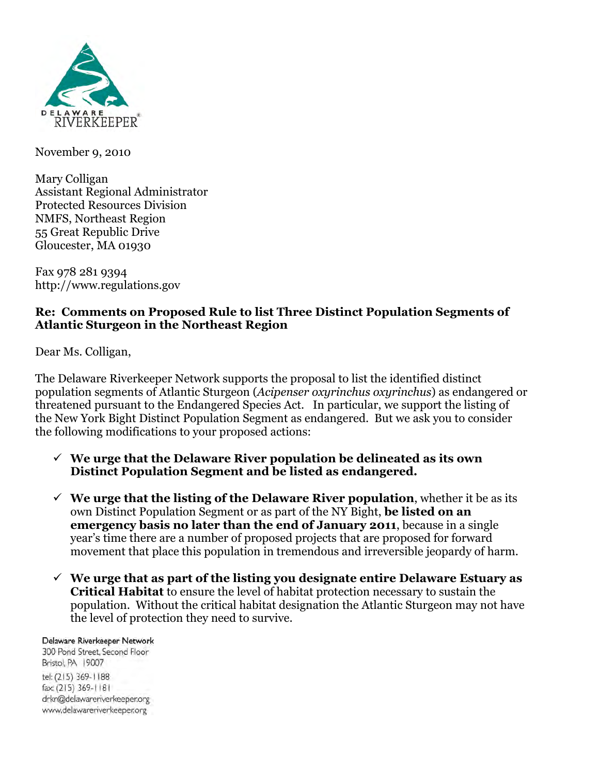

November 9, 2010

Mary Colligan Assistant Regional Administrator Protected Resources Division NMFS, Northeast Region 55 Great Republic Drive Gloucester, MA 01930

Fax 978 281 9394 http://www.regulations.gov

#### **Re: Comments on Proposed Rule to list Three Distinct Population Segments of Atlantic Sturgeon in the Northeast Region**

Dear Ms. Colligan,

The Delaware Riverkeeper Network supports the proposal to list the identified distinct population segments of Atlantic Sturgeon (*Acipenser oxyrinchus oxyrinchus*) as endangered or threatened pursuant to the Endangered Species Act. In particular, we support the listing of the New York Bight Distinct Population Segment as endangered. But we ask you to consider the following modifications to your proposed actions:

- **We urge that the Delaware River population be delineated as its own Distinct Population Segment and be listed as endangered.**
- $\checkmark$  We urge that the listing of the Delaware River population, whether it be as its own Distinct Population Segment or as part of the NY Bight, **be listed on an emergency basis no later than the end of January 2011**, because in a single year's time there are a number of proposed projects that are proposed for forward movement that place this population in tremendous and irreversible jeopardy of harm.
- **We urge that as part of the listing you designate entire Delaware Estuary as Critical Habitat** to ensure the level of habitat protection necessary to sustain the population. Without the critical habitat designation the Atlantic Sturgeon may not have the level of protection they need to survive.

Delaware Riverkeeper Network

300 Pond Street, Second Floor Bristol, PA 19007 tel: (215) 369-1188 fax: (215) 369-1181 drkn@delawareriverkeeper.org www.delawareriverkeeper.org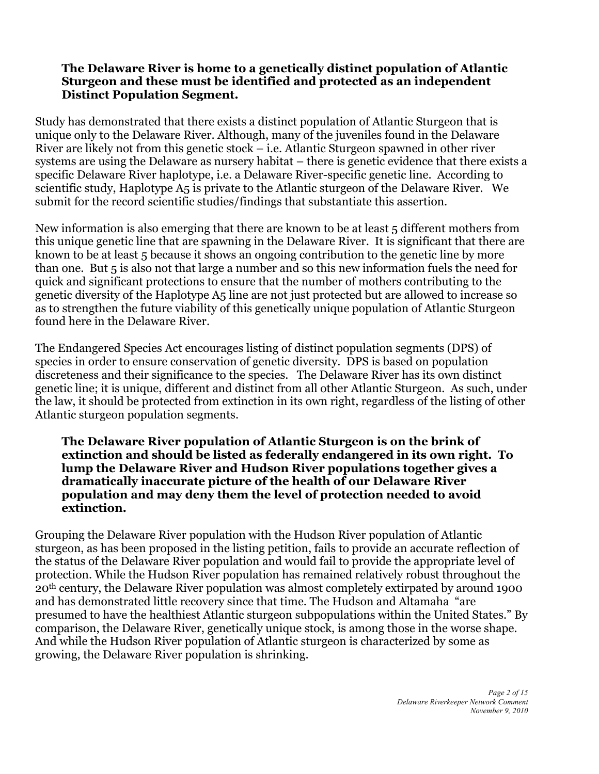#### **The Delaware River is home to a genetically distinct population of Atlantic Sturgeon and these must be identified and protected as an independent Distinct Population Segment.**

Study has demonstrated that there exists a distinct population of Atlantic Sturgeon that is unique only to the Delaware River. Although, many of the juveniles found in the Delaware River are likely not from this genetic stock – i.e. Atlantic Sturgeon spawned in other river systems are using the Delaware as nursery habitat – there is genetic evidence that there exists a specific Delaware River haplotype, i.e. a Delaware River-specific genetic line. According to scientific study, Haplotype A5 is private to the Atlantic sturgeon of the Delaware River. We submit for the record scientific studies/findings that substantiate this assertion.

New information is also emerging that there are known to be at least 5 different mothers from this unique genetic line that are spawning in the Delaware River. It is significant that there are known to be at least 5 because it shows an ongoing contribution to the genetic line by more than one. But 5 is also not that large a number and so this new information fuels the need for quick and significant protections to ensure that the number of mothers contributing to the genetic diversity of the Haplotype A5 line are not just protected but are allowed to increase so as to strengthen the future viability of this genetically unique population of Atlantic Sturgeon found here in the Delaware River.

The Endangered Species Act encourages listing of distinct population segments (DPS) of species in order to ensure conservation of genetic diversity. DPS is based on population discreteness and their significance to the species. The Delaware River has its own distinct genetic line; it is unique, different and distinct from all other Atlantic Sturgeon. As such, under the law, it should be protected from extinction in its own right, regardless of the listing of other Atlantic sturgeon population segments.

**The Delaware River population of Atlantic Sturgeon is on the brink of extinction and should be listed as federally endangered in its own right. To lump the Delaware River and Hudson River populations together gives a dramatically inaccurate picture of the health of our Delaware River population and may deny them the level of protection needed to avoid extinction.**

Grouping the Delaware River population with the Hudson River population of Atlantic sturgeon, as has been proposed in the listing petition, fails to provide an accurate reflection of the status of the Delaware River population and would fail to provide the appropriate level of protection. While the Hudson River population has remained relatively robust throughout the 20th century, the Delaware River population was almost completely extirpated by around 1900 and has demonstrated little recovery since that time. The Hudson and Altamaha "are presumed to have the healthiest Atlantic sturgeon subpopulations within the United States." By comparison, the Delaware River, genetically unique stock, is among those in the worse shape. And while the Hudson River population of Atlantic sturgeon is characterized by some as growing, the Delaware River population is shrinking.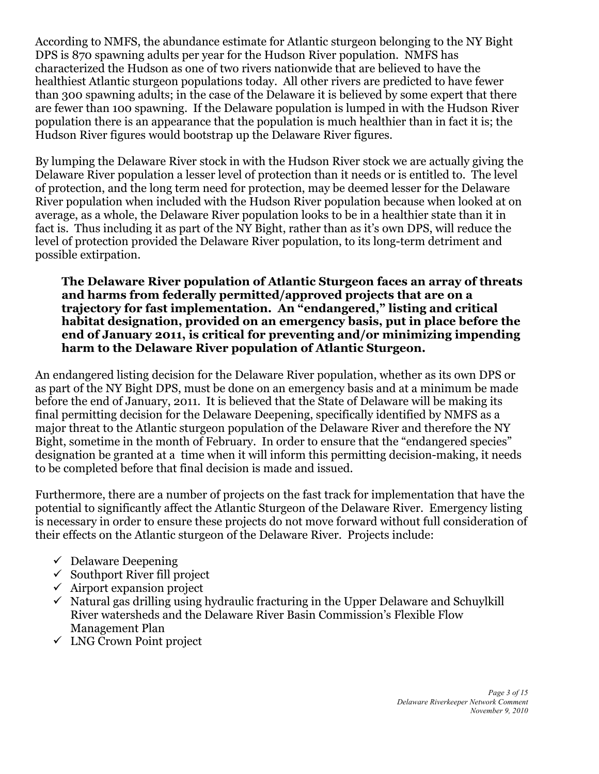According to NMFS, the abundance estimate for Atlantic sturgeon belonging to the NY Bight DPS is 870 spawning adults per year for the Hudson River population. NMFS has characterized the Hudson as one of two rivers nationwide that are believed to have the healthiest Atlantic sturgeon populations today. All other rivers are predicted to have fewer than 300 spawning adults; in the case of the Delaware it is believed by some expert that there are fewer than 100 spawning. If the Delaware population is lumped in with the Hudson River population there is an appearance that the population is much healthier than in fact it is; the Hudson River figures would bootstrap up the Delaware River figures.

By lumping the Delaware River stock in with the Hudson River stock we are actually giving the Delaware River population a lesser level of protection than it needs or is entitled to. The level of protection, and the long term need for protection, may be deemed lesser for the Delaware River population when included with the Hudson River population because when looked at on average, as a whole, the Delaware River population looks to be in a healthier state than it in fact is. Thus including it as part of the NY Bight, rather than as it's own DPS, will reduce the level of protection provided the Delaware River population, to its long-term detriment and possible extirpation.

**The Delaware River population of Atlantic Sturgeon faces an array of threats and harms from federally permitted/approved projects that are on a trajectory for fast implementation. An "endangered," listing and critical habitat designation, provided on an emergency basis, put in place before the end of January 2011, is critical for preventing and/or minimizing impending harm to the Delaware River population of Atlantic Sturgeon.**

An endangered listing decision for the Delaware River population, whether as its own DPS or as part of the NY Bight DPS, must be done on an emergency basis and at a minimum be made before the end of January, 2011. It is believed that the State of Delaware will be making its final permitting decision for the Delaware Deepening, specifically identified by NMFS as a major threat to the Atlantic sturgeon population of the Delaware River and therefore the NY Bight, sometime in the month of February. In order to ensure that the "endangered species" designation be granted at a time when it will inform this permitting decision-making, it needs to be completed before that final decision is made and issued.

Furthermore, there are a number of projects on the fast track for implementation that have the potential to significantly affect the Atlantic Sturgeon of the Delaware River. Emergency listing is necessary in order to ensure these projects do not move forward without full consideration of their effects on the Atlantic sturgeon of the Delaware River. Projects include:

- $\checkmark$  Delaware Deepening
- $\checkmark$  Southport River fill project
- $\checkmark$  Airport expansion project
- $\checkmark$  Natural gas drilling using hydraulic fracturing in the Upper Delaware and Schuylkill River watersheds and the Delaware River Basin Commission's Flexible Flow Management Plan
- LNG Crown Point project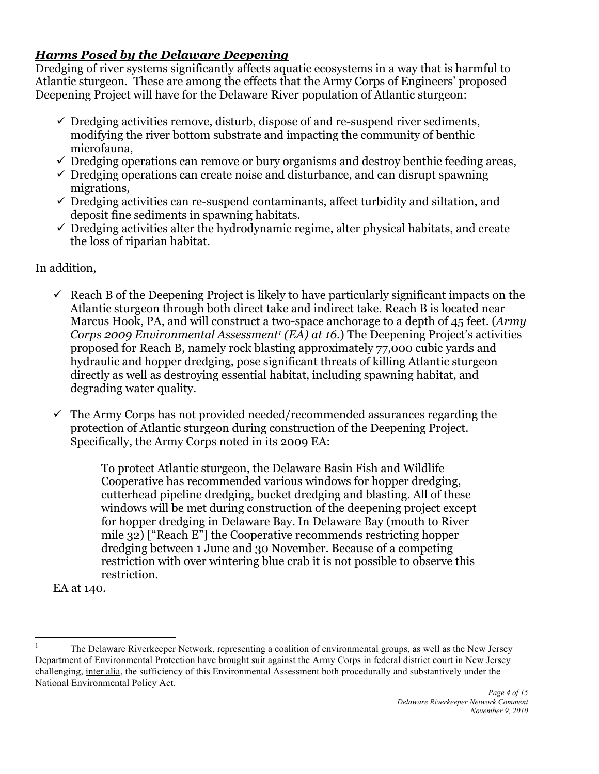# *Harms Posed by the Delaware Deepening*

Dredging of river systems significantly affects aquatic ecosystems in a way that is harmful to Atlantic sturgeon. These are among the effects that the Army Corps of Engineers' proposed Deepening Project will have for the Delaware River population of Atlantic sturgeon:

- $\checkmark$  Dredging activities remove, disturb, dispose of and re-suspend river sediments, modifying the river bottom substrate and impacting the community of benthic microfauna,
- $\checkmark$  Dredging operations can remove or bury organisms and destroy benthic feeding areas,
- $\checkmark$  Dredging operations can create noise and disturbance, and can disrupt spawning migrations,
- $\checkmark$  Dredging activities can re-suspend contaminants, affect turbidity and siltation, and deposit fine sediments in spawning habitats.
- $\checkmark$  Dredging activities alter the hydrodynamic regime, alter physical habitats, and create the loss of riparian habitat.

In addition,

- $\checkmark$  Reach B of the Deepening Project is likely to have particularly significant impacts on the Atlantic sturgeon through both direct take and indirect take. Reach B is located near Marcus Hook, PA, and will construct a two-space anchorage to a depth of 45 feet. (*Army Corps 2009 Environmental Assessment<sup>1</sup> (EA) at 16.)* The Deepening Project's activities proposed for Reach B, namely rock blasting approximately 77,000 cubic yards and hydraulic and hopper dredging, pose significant threats of killing Atlantic sturgeon directly as well as destroying essential habitat, including spawning habitat, and degrading water quality.
- $\checkmark$  The Army Corps has not provided needed/recommended assurances regarding the protection of Atlantic sturgeon during construction of the Deepening Project. Specifically, the Army Corps noted in its 2009 EA:

To protect Atlantic sturgeon, the Delaware Basin Fish and Wildlife Cooperative has recommended various windows for hopper dredging, cutterhead pipeline dredging, bucket dredging and blasting. All of these windows will be met during construction of the deepening project except for hopper dredging in Delaware Bay. In Delaware Bay (mouth to River mile 32) ["Reach E"] the Cooperative recommends restricting hopper dredging between 1 June and 30 November. Because of a competing restriction with over wintering blue crab it is not possible to observe this restriction.

EA at 140.

 $\overline{a}$ 

<sup>1</sup> The Delaware Riverkeeper Network, representing a coalition of environmental groups, as well as the New Jersey Department of Environmental Protection have brought suit against the Army Corps in federal district court in New Jersey challenging, inter alia, the sufficiency of this Environmental Assessment both procedurally and substantively under the National Environmental Policy Act.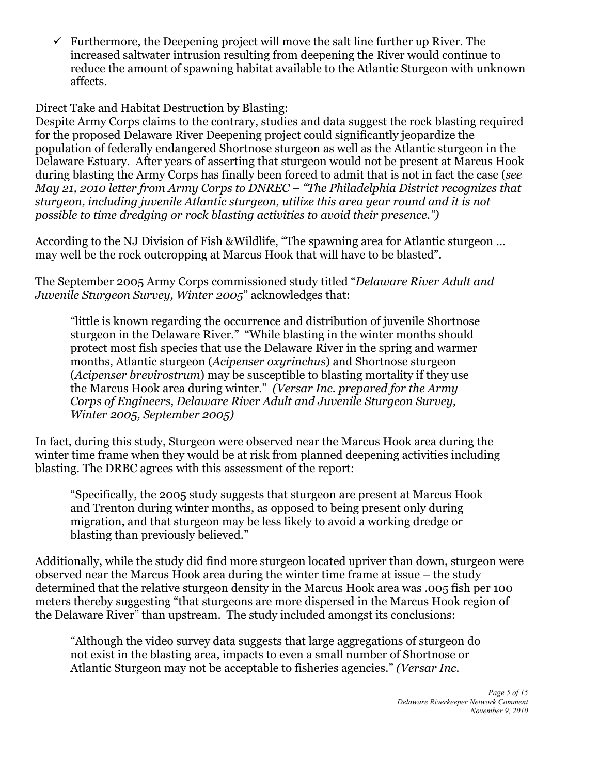$\checkmark$  Furthermore, the Deepening project will move the salt line further up River. The increased saltwater intrusion resulting from deepening the River would continue to reduce the amount of spawning habitat available to the Atlantic Sturgeon with unknown affects.

# Direct Take and Habitat Destruction by Blasting:

Despite Army Corps claims to the contrary, studies and data suggest the rock blasting required for the proposed Delaware River Deepening project could significantly jeopardize the population of federally endangered Shortnose sturgeon as well as the Atlantic sturgeon in the Delaware Estuary. After years of asserting that sturgeon would not be present at Marcus Hook during blasting the Army Corps has finally been forced to admit that is not in fact the case (*see May 21, 2010 letter from Army Corps to DNREC – "The Philadelphia District recognizes that sturgeon, including juvenile Atlantic sturgeon, utilize this area year round and it is not possible to time dredging or rock blasting activities to avoid their presence.")*

According to the NJ Division of Fish &Wildlife, "The spawning area for Atlantic sturgeon … may well be the rock outcropping at Marcus Hook that will have to be blasted".

The September 2005 Army Corps commissioned study titled "*Delaware River Adult and Juvenile Sturgeon Survey, Winter 2005*" acknowledges that:

"little is known regarding the occurrence and distribution of juvenile Shortnose sturgeon in the Delaware River." "While blasting in the winter months should protect most fish species that use the Delaware River in the spring and warmer months, Atlantic sturgeon (*Acipenser oxyrinchus*) and Shortnose sturgeon (*Acipenser brevirostrum*) may be susceptible to blasting mortality if they use the Marcus Hook area during winter." *(Versar Inc. prepared for the Army Corps of Engineers, Delaware River Adult and Juvenile Sturgeon Survey, Winter 2005, September 2005)*

In fact, during this study, Sturgeon were observed near the Marcus Hook area during the winter time frame when they would be at risk from planned deepening activities including blasting. The DRBC agrees with this assessment of the report:

"Specifically, the 2005 study suggests that sturgeon are present at Marcus Hook and Trenton during winter months, as opposed to being present only during migration, and that sturgeon may be less likely to avoid a working dredge or blasting than previously believed."

Additionally, while the study did find more sturgeon located upriver than down, sturgeon were observed near the Marcus Hook area during the winter time frame at issue – the study determined that the relative sturgeon density in the Marcus Hook area was .005 fish per 100 meters thereby suggesting "that sturgeons are more dispersed in the Marcus Hook region of the Delaware River" than upstream. The study included amongst its conclusions:

"Although the video survey data suggests that large aggregations of sturgeon do not exist in the blasting area, impacts to even a small number of Shortnose or Atlantic Sturgeon may not be acceptable to fisheries agencies." *(Versar Inc.*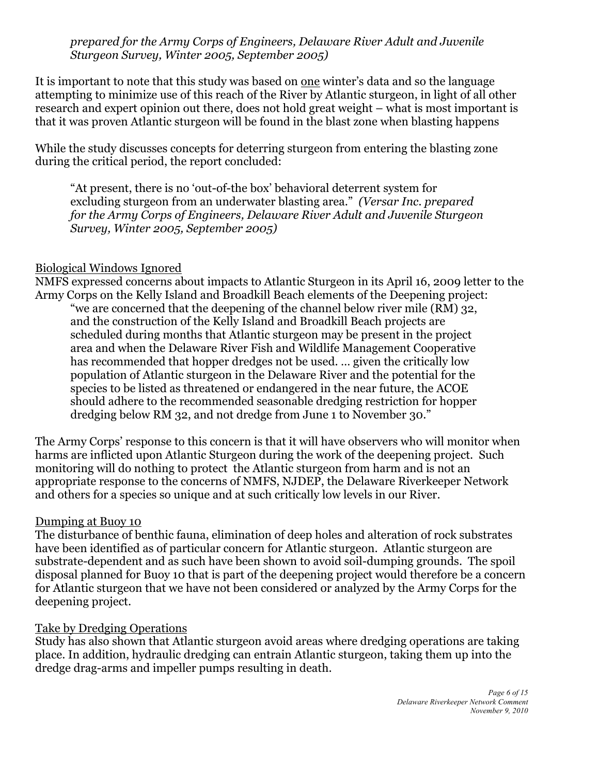*prepared for the Army Corps of Engineers, Delaware River Adult and Juvenile Sturgeon Survey, Winter 2005, September 2005)*

It is important to note that this study was based on one winter's data and so the language attempting to minimize use of this reach of the River by Atlantic sturgeon, in light of all other research and expert opinion out there, does not hold great weight – what is most important is that it was proven Atlantic sturgeon will be found in the blast zone when blasting happens

While the study discusses concepts for deterring sturgeon from entering the blasting zone during the critical period, the report concluded:

"At present, there is no 'out-of-the box' behavioral deterrent system for excluding sturgeon from an underwater blasting area." *(Versar Inc. prepared for the Army Corps of Engineers, Delaware River Adult and Juvenile Sturgeon Survey, Winter 2005, September 2005)*

#### Biological Windows Ignored

NMFS expressed concerns about impacts to Atlantic Sturgeon in its April 16, 2009 letter to the Army Corps on the Kelly Island and Broadkill Beach elements of the Deepening project:

"we are concerned that the deepening of the channel below river mile (RM) 32, and the construction of the Kelly Island and Broadkill Beach projects are scheduled during months that Atlantic sturgeon may be present in the project area and when the Delaware River Fish and Wildlife Management Cooperative has recommended that hopper dredges not be used. … given the critically low population of Atlantic sturgeon in the Delaware River and the potential for the species to be listed as threatened or endangered in the near future, the ACOE should adhere to the recommended seasonable dredging restriction for hopper dredging below RM 32, and not dredge from June 1 to November 30."

The Army Corps' response to this concern is that it will have observers who will monitor when harms are inflicted upon Atlantic Sturgeon during the work of the deepening project. Such monitoring will do nothing to protect the Atlantic sturgeon from harm and is not an appropriate response to the concerns of NMFS, NJDEP, the Delaware Riverkeeper Network and others for a species so unique and at such critically low levels in our River.

## Dumping at Buoy 10

The disturbance of benthic fauna, elimination of deep holes and alteration of rock substrates have been identified as of particular concern for Atlantic sturgeon. Atlantic sturgeon are substrate-dependent and as such have been shown to avoid soil-dumping grounds. The spoil disposal planned for Buoy 10 that is part of the deepening project would therefore be a concern for Atlantic sturgeon that we have not been considered or analyzed by the Army Corps for the deepening project.

## Take by Dredging Operations

Study has also shown that Atlantic sturgeon avoid areas where dredging operations are taking place. In addition, hydraulic dredging can entrain Atlantic sturgeon, taking them up into the dredge drag-arms and impeller pumps resulting in death.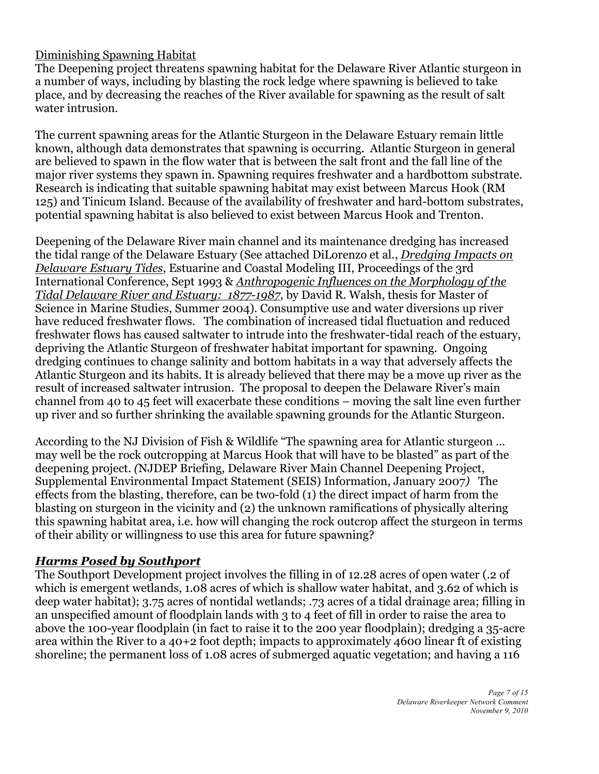# Diminishing Spawning Habitat

The Deepening project threatens spawning habitat for the Delaware River Atlantic sturgeon in a number of ways, including by blasting the rock ledge where spawning is believed to take place, and by decreasing the reaches of the River available for spawning as the result of salt water intrusion.

The current spawning areas for the Atlantic Sturgeon in the Delaware Estuary remain little known, although data demonstrates that spawning is occurring. Atlantic Sturgeon in general are believed to spawn in the flow water that is between the salt front and the fall line of the major river systems they spawn in. Spawning requires freshwater and a hardbottom substrate. Research is indicating that suitable spawning habitat may exist between Marcus Hook (RM 125) and Tinicum Island. Because of the availability of freshwater and hard-bottom substrates, potential spawning habitat is also believed to exist between Marcus Hook and Trenton.

Deepening of the Delaware River main channel and its maintenance dredging has increased the tidal range of the Delaware Estuary (See attached DiLorenzo et al., *Dredging Impacts on Delaware Estuary Tides*, Estuarine and Coastal Modeling III, Proceedings of the 3rd International Conference, Sept 1993 & *Anthropogenic Influences on the Morphology of the Tidal Delaware River and Estuary: 1877-1987*, by David R. Walsh, thesis for Master of Science in Marine Studies, Summer 2004). Consumptive use and water diversions up river have reduced freshwater flows. The combination of increased tidal fluctuation and reduced freshwater flows has caused saltwater to intrude into the freshwater-tidal reach of the estuary, depriving the Atlantic Sturgeon of freshwater habitat important for spawning. Ongoing dredging continues to change salinity and bottom habitats in a way that adversely affects the Atlantic Sturgeon and its habits. It is already believed that there may be a move up river as the result of increased saltwater intrusion. The proposal to deepen the Delaware River's main channel from 40 to 45 feet will exacerbate these conditions – moving the salt line even further up river and so further shrinking the available spawning grounds for the Atlantic Sturgeon.

According to the NJ Division of Fish & Wildlife "The spawning area for Atlantic sturgeon … may well be the rock outcropping at Marcus Hook that will have to be blasted" as part of the deepening project. *(*NJDEP Briefing, Delaware River Main Channel Deepening Project, Supplemental Environmental Impact Statement (SEIS) Information, January 2007*)* The effects from the blasting, therefore, can be two-fold (1) the direct impact of harm from the blasting on sturgeon in the vicinity and (2) the unknown ramifications of physically altering this spawning habitat area, i.e. how will changing the rock outcrop affect the sturgeon in terms of their ability or willingness to use this area for future spawning?

## *Harms Posed by Southport*

The Southport Development project involves the filling in of 12.28 acres of open water (.2 of which is emergent wetlands, 1.08 acres of which is shallow water habitat, and 3.62 of which is deep water habitat); 3.75 acres of nontidal wetlands; .73 acres of a tidal drainage area; filling in an unspecified amount of floodplain lands with 3 to 4 feet of fill in order to raise the area to above the 100-year floodplain (in fact to raise it to the 200 year floodplain); dredging a 35-acre area within the River to a 40+2 foot depth; impacts to approximately 4600 linear ft of existing shoreline; the permanent loss of 1.08 acres of submerged aquatic vegetation; and having a 116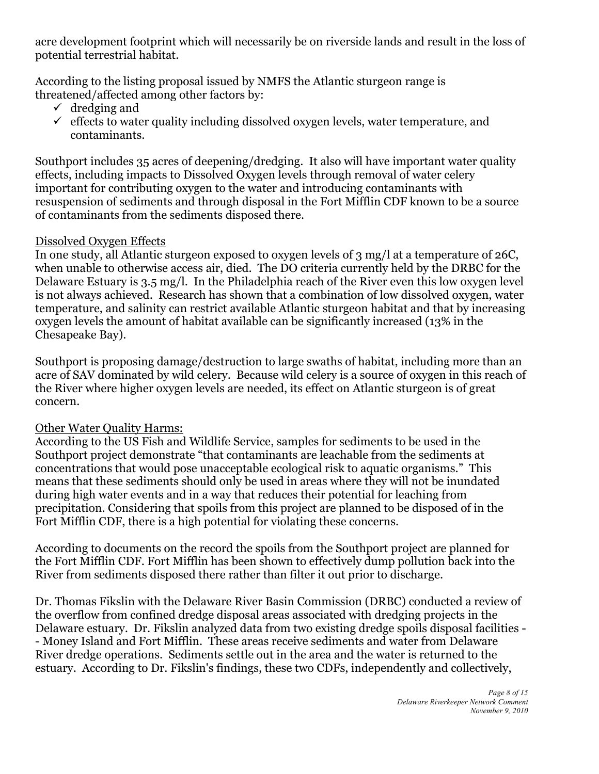acre development footprint which will necessarily be on riverside lands and result in the loss of potential terrestrial habitat.

According to the listing proposal issued by NMFS the Atlantic sturgeon range is threatened/affected among other factors by:

- $\checkmark$  dredging and
- $\checkmark$  effects to water quality including dissolved oxygen levels, water temperature, and contaminants.

Southport includes 35 acres of deepening/dredging. It also will have important water quality effects, including impacts to Dissolved Oxygen levels through removal of water celery important for contributing oxygen to the water and introducing contaminants with resuspension of sediments and through disposal in the Fort Mifflin CDF known to be a source of contaminants from the sediments disposed there.

## Dissolved Oxygen Effects

In one study, all Atlantic sturgeon exposed to oxygen levels of 3 mg/l at a temperature of 26C, when unable to otherwise access air, died. The DO criteria currently held by the DRBC for the Delaware Estuary is 3.5 mg/l. In the Philadelphia reach of the River even this low oxygen level is not always achieved. Research has shown that a combination of low dissolved oxygen, water temperature, and salinity can restrict available Atlantic sturgeon habitat and that by increasing oxygen levels the amount of habitat available can be significantly increased (13% in the Chesapeake Bay).

Southport is proposing damage/destruction to large swaths of habitat, including more than an acre of SAV dominated by wild celery. Because wild celery is a source of oxygen in this reach of the River where higher oxygen levels are needed, its effect on Atlantic sturgeon is of great concern.

## Other Water Quality Harms:

According to the US Fish and Wildlife Service, samples for sediments to be used in the Southport project demonstrate "that contaminants are leachable from the sediments at concentrations that would pose unacceptable ecological risk to aquatic organisms." This means that these sediments should only be used in areas where they will not be inundated during high water events and in a way that reduces their potential for leaching from precipitation. Considering that spoils from this project are planned to be disposed of in the Fort Mifflin CDF, there is a high potential for violating these concerns.

According to documents on the record the spoils from the Southport project are planned for the Fort Mifflin CDF. Fort Mifflin has been shown to effectively dump pollution back into the River from sediments disposed there rather than filter it out prior to discharge.

Dr. Thomas Fikslin with the Delaware River Basin Commission (DRBC) conducted a review of the overflow from confined dredge disposal areas associated with dredging projects in the Delaware estuary. Dr. Fikslin analyzed data from two existing dredge spoils disposal facilities - - Money Island and Fort Mifflin. These areas receive sediments and water from Delaware River dredge operations. Sediments settle out in the area and the water is returned to the estuary. According to Dr. Fikslin's findings, these two CDFs, independently and collectively,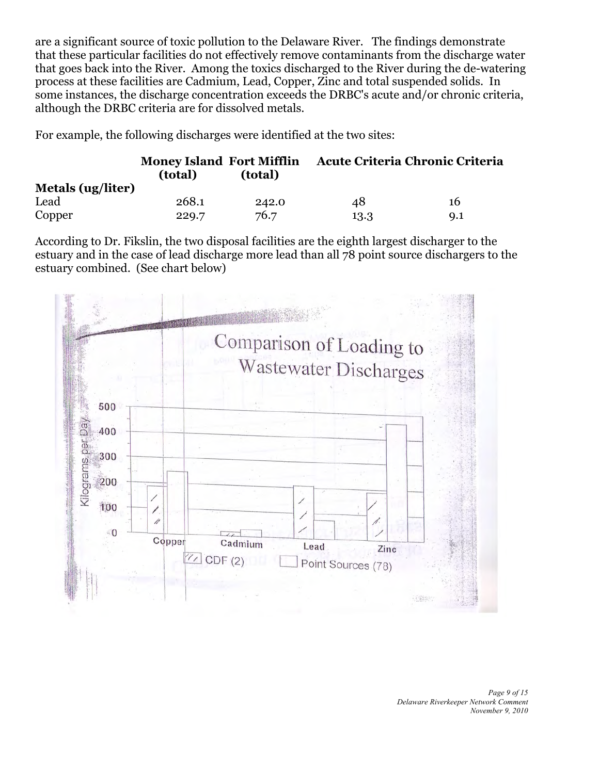are a significant source of toxic pollution to the Delaware River. The findings demonstrate that these particular facilities do not effectively remove contaminants from the discharge water that goes back into the River. Among the toxics discharged to the River during the de-watering process at these facilities are Cadmium, Lead, Copper, Zinc and total suspended solids. In some instances, the discharge concentration exceeds the DRBC's acute and/or chronic criteria, although the DRBC criteria are for dissolved metals.

For example, the following discharges were identified at the two sites:

|                   | <b>Money Island Fort Mifflin</b><br>(total) | (total) | <b>Acute Criteria Chronic Criteria</b> |         |
|-------------------|---------------------------------------------|---------|----------------------------------------|---------|
| Metals (ug/liter) |                                             |         |                                        |         |
| Lead              | 268.1                                       | 242.0   | 48                                     | 16      |
| Copper            | 229.7                                       | 76.7    | 13.3                                   | $Q_{1}$ |

According to Dr. Fikslin, the two disposal facilities are the eighth largest discharger to the estuary and in the case of lead discharge more lead than all 78 point source dischargers to the estuary combined. (See chart below)

|                        |        | Comparison of Loading to<br>Wastewater Discharges |
|------------------------|--------|---------------------------------------------------|
| 500                    |        |                                                   |
| Da <sub>y</sub><br>400 |        |                                                   |
| Kilograms per<br>300   |        |                                                   |
| 200                    |        |                                                   |
| 100                    |        |                                                   |
|                        | h      | ╱                                                 |
|                        | Copper | Cadmium<br>Lead<br>Zinc                           |
|                        |        | $\frac{7}{7}$ CDF (2)<br>Point Sources (78)       |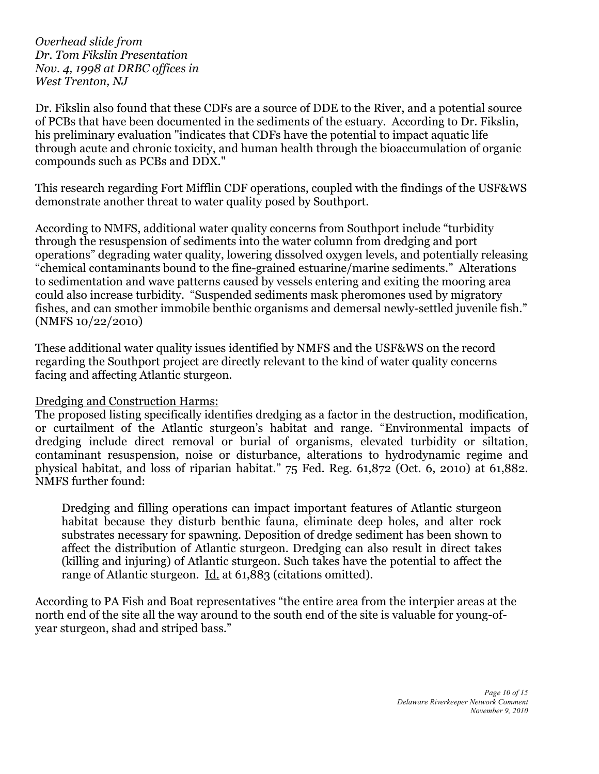*Overhead slide from Dr. Tom Fikslin Presentation Nov. 4, 1998 at DRBC offices in West Trenton, NJ*

Dr. Fikslin also found that these CDFs are a source of DDE to the River, and a potential source of PCBs that have been documented in the sediments of the estuary. According to Dr. Fikslin, his preliminary evaluation "indicates that CDFs have the potential to impact aquatic life through acute and chronic toxicity, and human health through the bioaccumulation of organic compounds such as PCBs and DDX."

This research regarding Fort Mifflin CDF operations, coupled with the findings of the USF&WS demonstrate another threat to water quality posed by Southport.

According to NMFS, additional water quality concerns from Southport include "turbidity through the resuspension of sediments into the water column from dredging and port operations" degrading water quality, lowering dissolved oxygen levels, and potentially releasing "chemical contaminants bound to the fine-grained estuarine/marine sediments." Alterations to sedimentation and wave patterns caused by vessels entering and exiting the mooring area could also increase turbidity. "Suspended sediments mask pheromones used by migratory fishes, and can smother immobile benthic organisms and demersal newly-settled juvenile fish." (NMFS 10/22/2010)

These additional water quality issues identified by NMFS and the USF&WS on the record regarding the Southport project are directly relevant to the kind of water quality concerns facing and affecting Atlantic sturgeon.

## Dredging and Construction Harms:

The proposed listing specifically identifies dredging as a factor in the destruction, modification, or curtailment of the Atlantic sturgeon's habitat and range. "Environmental impacts of dredging include direct removal or burial of organisms, elevated turbidity or siltation, contaminant resuspension, noise or disturbance, alterations to hydrodynamic regime and physical habitat, and loss of riparian habitat." 75 Fed. Reg. 61,872 (Oct. 6, 2010) at 61,882. NMFS further found:

Dredging and filling operations can impact important features of Atlantic sturgeon habitat because they disturb benthic fauna, eliminate deep holes, and alter rock substrates necessary for spawning. Deposition of dredge sediment has been shown to affect the distribution of Atlantic sturgeon. Dredging can also result in direct takes (killing and injuring) of Atlantic sturgeon. Such takes have the potential to affect the range of Atlantic sturgeon. Id. at 61,883 (citations omitted).

According to PA Fish and Boat representatives "the entire area from the interpier areas at the north end of the site all the way around to the south end of the site is valuable for young-ofyear sturgeon, shad and striped bass."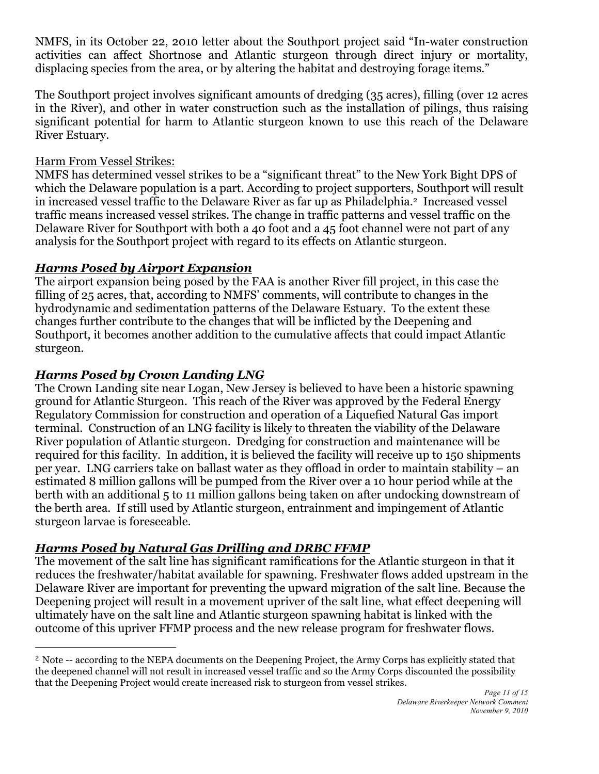NMFS, in its October 22, 2010 letter about the Southport project said "In-water construction activities can affect Shortnose and Atlantic sturgeon through direct injury or mortality, displacing species from the area, or by altering the habitat and destroying forage items."

The Southport project involves significant amounts of dredging (35 acres), filling (over 12 acres in the River), and other in water construction such as the installation of pilings, thus raising significant potential for harm to Atlantic sturgeon known to use this reach of the Delaware River Estuary.

# Harm From Vessel Strikes:

NMFS has determined vessel strikes to be a "significant threat" to the New York Bight DPS of which the Delaware population is a part. According to project supporters, Southport will result in increased vessel traffic to the Delaware River as far up as Philadelphia.<sup>2</sup> Increased vessel traffic means increased vessel strikes. The change in traffic patterns and vessel traffic on the Delaware River for Southport with both a 40 foot and a 45 foot channel were not part of any analysis for the Southport project with regard to its effects on Atlantic sturgeon.

# *Harms Posed by Airport Expansion*

The airport expansion being posed by the FAA is another River fill project, in this case the filling of 25 acres, that, according to NMFS' comments, will contribute to changes in the hydrodynamic and sedimentation patterns of the Delaware Estuary. To the extent these changes further contribute to the changes that will be inflicted by the Deepening and Southport, it becomes another addition to the cumulative affects that could impact Atlantic sturgeon.

# *Harms Posed by Crown Landing LNG*

The Crown Landing site near Logan, New Jersey is believed to have been a historic spawning ground for Atlantic Sturgeon. This reach of the River was approved by the Federal Energy Regulatory Commission for construction and operation of a Liquefied Natural Gas import terminal. Construction of an LNG facility is likely to threaten the viability of the Delaware River population of Atlantic sturgeon. Dredging for construction and maintenance will be required for this facility. In addition, it is believed the facility will receive up to 150 shipments per year. LNG carriers take on ballast water as they offload in order to maintain stability – an estimated 8 million gallons will be pumped from the River over a 10 hour period while at the berth with an additional 5 to 11 million gallons being taken on after undocking downstream of the berth area. If still used by Atlantic sturgeon, entrainment and impingement of Atlantic sturgeon larvae is foreseeable.

# *Harms Posed by Natural Gas Drilling and DRBC FFMP*

The movement of the salt line has significant ramifications for the Atlantic sturgeon in that it reduces the freshwater/habitat available for spawning. Freshwater flows added upstream in the Delaware River are important for preventing the upward migration of the salt line. Because the Deepening project will result in a movement upriver of the salt line, what effect deepening will ultimately have on the salt line and Atlantic sturgeon spawning habitat is linked with the outcome of this upriver FFMP process and the new release program for freshwater flows.

<sup>&</sup>lt;sup>2</sup> Note -- according to the NEPA documents on the Deepening Project, the Army Corps has explicitly stated that the deepened channel will not result in increased vessel traffic and so the Army Corps discounted the possibility that the Deepening Project would create increased risk to sturgeon from vessel strikes.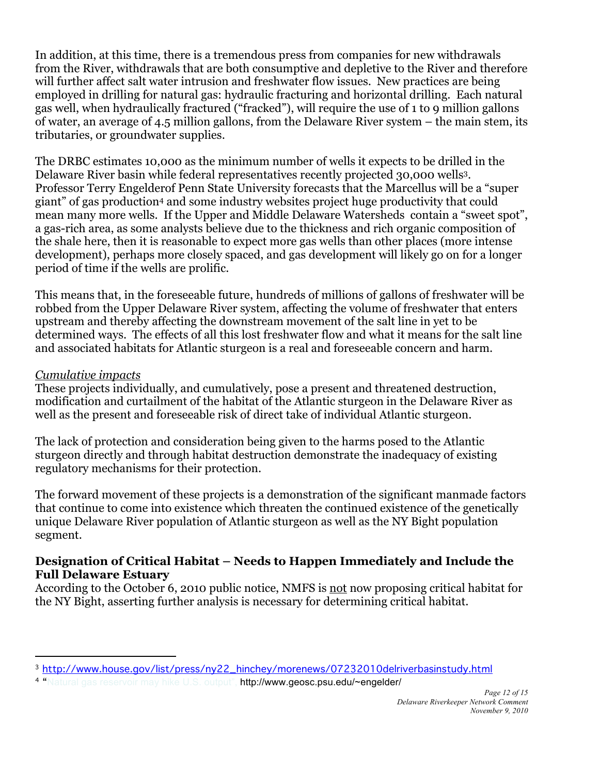In addition, at this time, there is a tremendous press from companies for new withdrawals from the River, withdrawals that are both consumptive and depletive to the River and therefore will further affect salt water intrusion and freshwater flow issues. New practices are being employed in drilling for natural gas: hydraulic fracturing and horizontal drilling. Each natural gas well, when hydraulically fractured ("fracked"), will require the use of 1 to 9 million gallons of water, an average of 4.5 million gallons, from the Delaware River system – the main stem, its tributaries, or groundwater supplies.

The DRBC estimates 10,000 as the minimum number of wells it expects to be drilled in the Delaware River basin while federal representatives recently projected 30,000 wells3. Professor Terry Engelderof Penn State University forecasts that the Marcellus will be a "super giant" of gas production4 and some industry websites project huge productivity that could mean many more wells. If the Upper and Middle Delaware Watersheds contain a "sweet spot", a gas-rich area, as some analysts believe due to the thickness and rich organic composition of the shale here, then it is reasonable to expect more gas wells than other places (more intense development), perhaps more closely spaced, and gas development will likely go on for a longer period of time if the wells are prolific.

This means that, in the foreseeable future, hundreds of millions of gallons of freshwater will be robbed from the Upper Delaware River system, affecting the volume of freshwater that enters upstream and thereby affecting the downstream movement of the salt line in yet to be determined ways. The effects of all this lost freshwater flow and what it means for the salt line and associated habitats for Atlantic sturgeon is a real and foreseeable concern and harm.

## *Cumulative impacts*

These projects individually, and cumulatively, pose a present and threatened destruction, modification and curtailment of the habitat of the Atlantic sturgeon in the Delaware River as well as the present and foreseeable risk of direct take of individual Atlantic sturgeon.

The lack of protection and consideration being given to the harms posed to the Atlantic sturgeon directly and through habitat destruction demonstrate the inadequacy of existing regulatory mechanisms for their protection.

The forward movement of these projects is a demonstration of the significant manmade factors that continue to come into existence which threaten the continued existence of the genetically unique Delaware River population of Atlantic sturgeon as well as the NY Bight population segment.

#### **Designation of Critical Habitat – Needs to Happen Immediately and Include the Full Delaware Estuary**

According to the October 6, 2010 public notice, NMFS is not now proposing critical habitat for the NY Bight, asserting further analysis is necessary for determining critical habitat.

 <sup>3</sup> http://www.house.gov/list/press/ny22\_hinchey/morenews/07232010delriverbasinstudy.html

<sup>4 &</sup>quot;Natural gas reservoir may hike U.S. output", http://www.geosc.psu.edu/~engelder/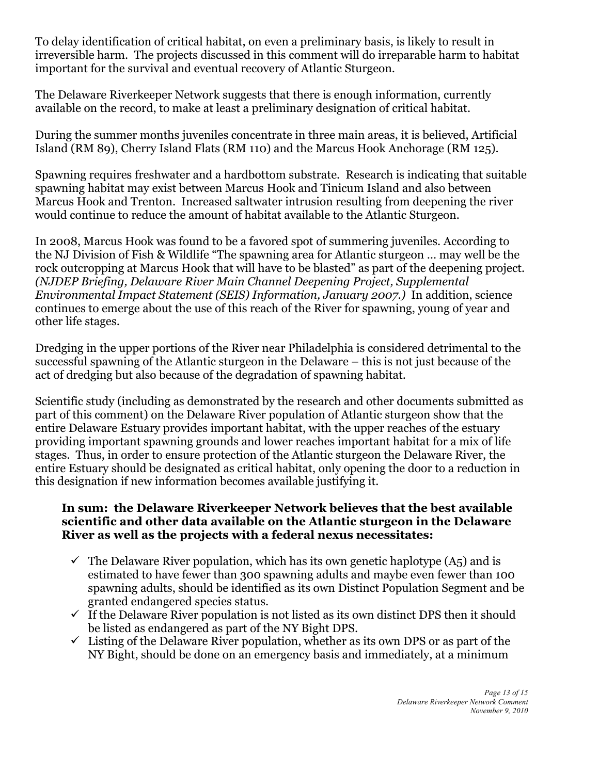To delay identification of critical habitat, on even a preliminary basis, is likely to result in irreversible harm. The projects discussed in this comment will do irreparable harm to habitat important for the survival and eventual recovery of Atlantic Sturgeon.

The Delaware Riverkeeper Network suggests that there is enough information, currently available on the record, to make at least a preliminary designation of critical habitat.

During the summer months juveniles concentrate in three main areas, it is believed, Artificial Island (RM 89), Cherry Island Flats (RM 110) and the Marcus Hook Anchorage (RM 125).

Spawning requires freshwater and a hardbottom substrate. Research is indicating that suitable spawning habitat may exist between Marcus Hook and Tinicum Island and also between Marcus Hook and Trenton. Increased saltwater intrusion resulting from deepening the river would continue to reduce the amount of habitat available to the Atlantic Sturgeon.

In 2008, Marcus Hook was found to be a favored spot of summering juveniles. According to the NJ Division of Fish & Wildlife "The spawning area for Atlantic sturgeon … may well be the rock outcropping at Marcus Hook that will have to be blasted" as part of the deepening project. *(NJDEP Briefing, Delaware River Main Channel Deepening Project, Supplemental Environmental Impact Statement (SEIS) Information, January 2007.)* In addition, science continues to emerge about the use of this reach of the River for spawning, young of year and other life stages.

Dredging in the upper portions of the River near Philadelphia is considered detrimental to the successful spawning of the Atlantic sturgeon in the Delaware – this is not just because of the act of dredging but also because of the degradation of spawning habitat.

Scientific study (including as demonstrated by the research and other documents submitted as part of this comment) on the Delaware River population of Atlantic sturgeon show that the entire Delaware Estuary provides important habitat, with the upper reaches of the estuary providing important spawning grounds and lower reaches important habitat for a mix of life stages. Thus, in order to ensure protection of the Atlantic sturgeon the Delaware River, the entire Estuary should be designated as critical habitat, only opening the door to a reduction in this designation if new information becomes available justifying it.

#### **In sum: the Delaware Riverkeeper Network believes that the best available scientific and other data available on the Atlantic sturgeon in the Delaware River as well as the projects with a federal nexus necessitates:**

- $\checkmark$  The Delaware River population, which has its own genetic haplotype (A5) and is estimated to have fewer than 300 spawning adults and maybe even fewer than 100 spawning adults, should be identified as its own Distinct Population Segment and be granted endangered species status.
- $\checkmark$  If the Delaware River population is not listed as its own distinct DPS then it should be listed as endangered as part of the NY Bight DPS.
- $\checkmark$  Listing of the Delaware River population, whether as its own DPS or as part of the NY Bight, should be done on an emergency basis and immediately, at a minimum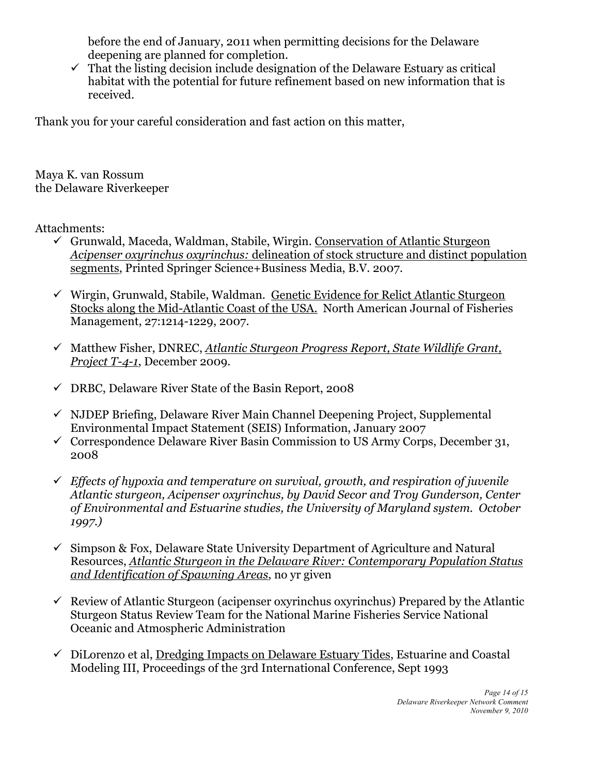before the end of January, 2011 when permitting decisions for the Delaware deepening are planned for completion.

 $\checkmark$  That the listing decision include designation of the Delaware Estuary as critical habitat with the potential for future refinement based on new information that is received.

Thank you for your careful consideration and fast action on this matter,

Maya K. van Rossum the Delaware Riverkeeper

## Attachments:

- $\checkmark$  Grunwald, Maceda, Waldman, Stabile, Wirgin. Conservation of Atlantic Sturgeon *Acipenser oxyrinchus oxyrinchus:* delineation of stock structure and distinct population segments, Printed Springer Science+Business Media, B.V. 2007.
- $\checkmark$  Wirgin, Grunwald, Stabile, Waldman. Genetic Evidence for Relict Atlantic Sturgeon Stocks along the Mid-Atlantic Coast of the USA. North American Journal of Fisheries Management, 27:1214-1229, 2007.
- Matthew Fisher, DNREC, *Atlantic Sturgeon Progress Report, State Wildlife Grant, Project T-4-1*, December 2009.
- $\checkmark$  DRBC, Delaware River State of the Basin Report, 2008
- $\checkmark$  NJDEP Briefing, Delaware River Main Channel Deepening Project, Supplemental Environmental Impact Statement (SEIS) Information, January 2007
- $\checkmark$  Correspondence Delaware River Basin Commission to US Army Corps, December 31, 2008
- *Effects of hypoxia and temperature on survival, growth, and respiration of juvenile Atlantic sturgeon, Acipenser oxyrinchus, by David Secor and Troy Gunderson, Center of Environmental and Estuarine studies, the University of Maryland system. October 1997.)*
- $\checkmark$  Simpson & Fox, Delaware State University Department of Agriculture and Natural Resources, *Atlantic Sturgeon in the Delaware River: Contemporary Population Status and Identification of Spawning Areas*, no yr given
- Review of Atlantic Sturgeon (acipenser oxyrinchus oxyrinchus) Prepared by the Atlantic Sturgeon Status Review Team for the National Marine Fisheries Service National Oceanic and Atmospheric Administration
- $\checkmark$  DiLorenzo et al, Dredging Impacts on Delaware Estuary Tides, Estuarine and Coastal Modeling III, Proceedings of the 3rd International Conference, Sept 1993